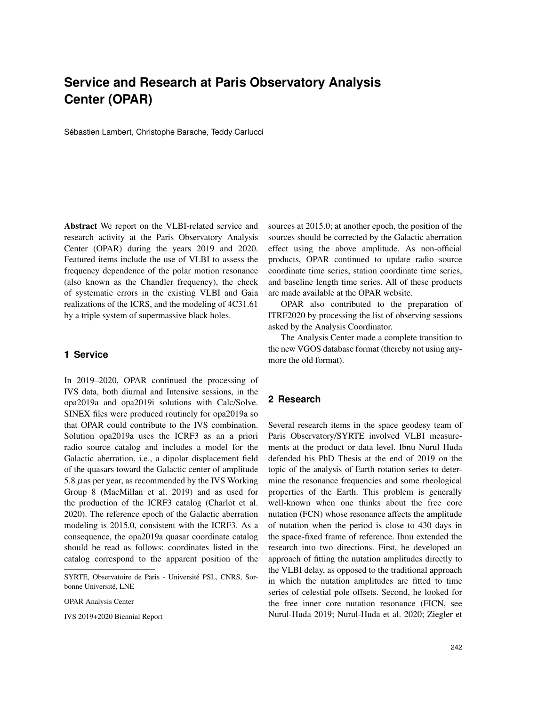## **Service and Research at Paris Observatory Analysis Center (OPAR)**

Sébastien Lambert, Christophe Barache, Teddy Carlucci

Abstract We report on the VLBI-related service and research activity at the Paris Observatory Analysis Center (OPAR) during the years 2019 and 2020. Featured items include the use of VLBI to assess the frequency dependence of the polar motion resonance (also known as the Chandler frequency), the check of systematic errors in the existing VLBI and Gaia realizations of the ICRS, and the modeling of 4C31.61 by a triple system of supermassive black holes.

## **1 Service**

In 2019–2020, OPAR continued the processing of IVS data, both diurnal and Intensive sessions, in the opa2019a and opa2019i solutions with Calc/Solve. SINEX files were produced routinely for opa2019a so that OPAR could contribute to the IVS combination. Solution opa2019a uses the ICRF3 as an a priori radio source catalog and includes a model for the Galactic aberration, i.e., a dipolar displacement field of the quasars toward the Galactic center of amplitude 5.8  $\mu$ as per year, as recommended by the IVS Working Group 8 (MacMillan et al. 2019) and as used for the production of the ICRF3 catalog (Charlot et al. 2020). The reference epoch of the Galactic aberration modeling is 2015.0, consistent with the ICRF3. As a consequence, the opa2019a quasar coordinate catalog should be read as follows: coordinates listed in the catalog correspond to the apparent position of the

IVS 2019+2020 Biennial Report

sources at 2015.0; at another epoch, the position of the sources should be corrected by the Galactic aberration effect using the above amplitude. As non-official products, OPAR continued to update radio source coordinate time series, station coordinate time series, and baseline length time series. All of these products are made available at the OPAR website.

OPAR also contributed to the preparation of ITRF2020 by processing the list of observing sessions asked by the Analysis Coordinator.

The Analysis Center made a complete transition to the new VGOS database format (thereby not using anymore the old format).

## **2 Research**

Several research items in the space geodesy team of Paris Observatory/SYRTE involved VLBI measurements at the product or data level. Ibnu Nurul Huda defended his PhD Thesis at the end of 2019 on the topic of the analysis of Earth rotation series to determine the resonance frequencies and some rheological properties of the Earth. This problem is generally well-known when one thinks about the free core nutation (FCN) whose resonance affects the amplitude of nutation when the period is close to 430 days in the space-fixed frame of reference. Ibnu extended the research into two directions. First, he developed an approach of fitting the nutation amplitudes directly to the VLBI delay, as opposed to the traditional approach in which the nutation amplitudes are fitted to time series of celestial pole offsets. Second, he looked for the free inner core nutation resonance (FICN, see Nurul-Huda 2019; Nurul-Huda et al. 2020; Ziegler et

SYRTE, Observatoire de Paris - Universite PSL, CNRS, Sor- ´ bonne Université, LNE

OPAR Analysis Center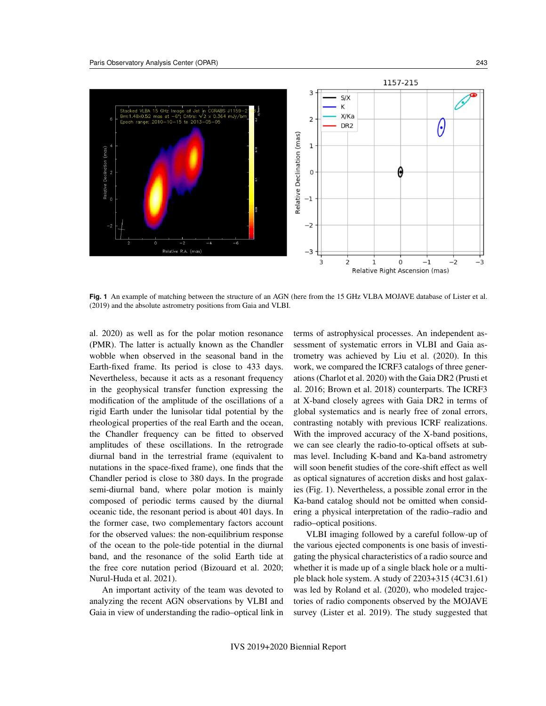

**Fig. 1** An example of matching between the structure of an AGN (here from the 15 GHz VLBA MOJAVE database of Lister et al. (2019) and the absolute astrometry positions from Gaia and VLBI.

al. 2020) as well as for the polar motion resonance (PMR). The latter is actually known as the Chandler wobble when observed in the seasonal band in the Earth-fixed frame. Its period is close to 433 days. Nevertheless, because it acts as a resonant frequency in the geophysical transfer function expressing the modification of the amplitude of the oscillations of a rigid Earth under the lunisolar tidal potential by the rheological properties of the real Earth and the ocean, the Chandler frequency can be fitted to observed amplitudes of these oscillations. In the retrograde diurnal band in the terrestrial frame (equivalent to nutations in the space-fixed frame), one finds that the Chandler period is close to 380 days. In the prograde semi-diurnal band, where polar motion is mainly composed of periodic terms caused by the diurnal oceanic tide, the resonant period is about 401 days. In the former case, two complementary factors account for the observed values: the non-equilibrium response of the ocean to the pole-tide potential in the diurnal band, and the resonance of the solid Earth tide at the free core nutation period (Bizouard et al. 2020; Nurul-Huda et al. 2021).

An important activity of the team was devoted to analyzing the recent AGN observations by VLBI and Gaia in view of understanding the radio–optical link in terms of astrophysical processes. An independent assessment of systematic errors in VLBI and Gaia astrometry was achieved by Liu et al. (2020). In this work, we compared the ICRF3 catalogs of three generations (Charlot et al. 2020) with the Gaia DR2 (Prusti et al. 2016; Brown et al. 2018) counterparts. The ICRF3 at X-band closely agrees with Gaia DR2 in terms of global systematics and is nearly free of zonal errors, contrasting notably with previous ICRF realizations. With the improved accuracy of the X-band positions, we can see clearly the radio-to-optical offsets at submas level. Including K-band and Ka-band astrometry will soon benefit studies of the core-shift effect as well as optical signatures of accretion disks and host galaxies (Fig. 1). Nevertheless, a possible zonal error in the Ka-band catalog should not be omitted when considering a physical interpretation of the radio–radio and radio–optical positions.

VLBI imaging followed by a careful follow-up of the various ejected components is one basis of investigating the physical characteristics of a radio source and whether it is made up of a single black hole or a multiple black hole system. A study of 2203+315 (4C31.61) was led by Roland et al. (2020), who modeled trajectories of radio components observed by the MOJAVE survey (Lister et al. 2019). The study suggested that